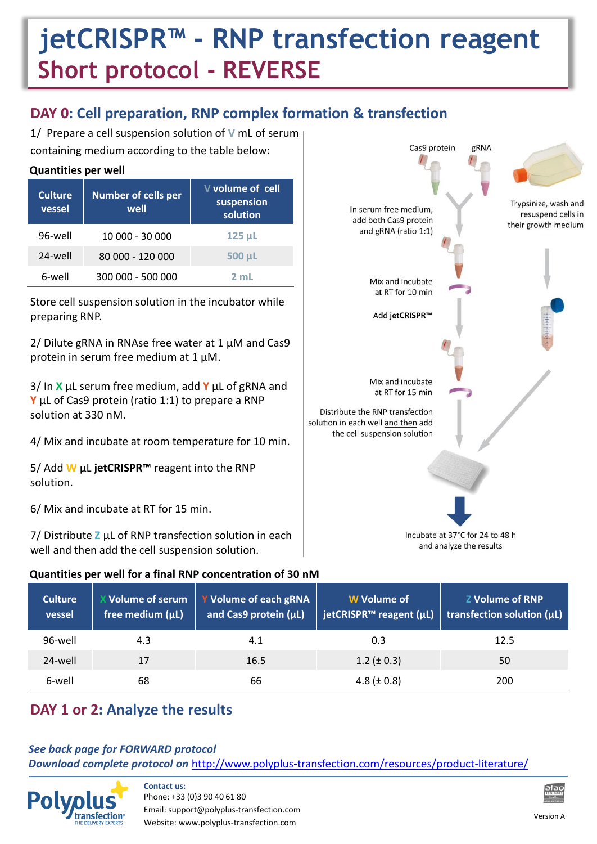# **jetCRISPR™ - RNP transfection reagent Short protocol - REVERSE**

## **DAY 0: Cell preparation, RNP complex formation & transfection**

1/ Prepare a cell suspension solution of **V** mL of serum containing medium according to the table below:

| <b>Culture</b><br>vessel | <b>Number of cells per</b><br>well | V volume of cell<br>suspension<br>solution |
|--------------------------|------------------------------------|--------------------------------------------|
| 96-well                  | 10 000 - 30 000                    | $125$ $\mu$                                |
| 24-well                  | 80 000 - 120 000                   | 500 µL                                     |
| 6-well                   | 300 000 - 500 000                  | $2 \text{ ml}$                             |

Store cell suspension solution in the incubator while preparing RNP.

2/ Dilute gRNA in RNAse free water at 1  $\mu$ M and Cas9 protein in serum free medium at 1 µM.

3/ In **X** µL serum free medium, add **Y** µL of gRNA and **Y** µL of Cas9 protein (ratio 1:1) to prepare a RNP solution at 330 nM.

4/ Mix and incubate at room temperature for 10 min.

5/ Add **W** µL **jetCRISPR™** reagent into the RNP solution.

6/ Mix and incubate at RT for 15 min.

7/ Distribute **Z** µL of RNP transfection solution in each well and then add the cell suspension solution.

#### **Quantities per well for a final RNP concentration of 30 nM**

| Cas9 protein                                                                                          | gRNA                            |                                                                   |
|-------------------------------------------------------------------------------------------------------|---------------------------------|-------------------------------------------------------------------|
| In serum free medium,<br>add both Cas9 protein<br>and gRNA (ratio 1:1)                                |                                 | Trypsinize, wash and<br>resuspend cells in<br>their growth medium |
| Mix and incubate<br>at RT for 10 min                                                                  |                                 |                                                                   |
| Add jetCRISPR™                                                                                        |                                 |                                                                   |
| Mix and incubate<br>at RT for 15 min                                                                  |                                 |                                                                   |
| Distribute the RNP transfection<br>solution in each well and then add<br>the cell suspension solution |                                 |                                                                   |
|                                                                                                       |                                 |                                                                   |
|                                                                                                       | Incubate at 37°C for 24 to 48 h |                                                                   |
|                                                                                                       | and analyze the results         |                                                                   |

| <b>Culture</b><br>vessel | X Volume of serum<br>free medium (µL) | Y Volume of each gRNA<br>and Cas9 protein (µL) | W Volume of<br>ietCRISPR™ reagent (µL) | <b>Z Volume of RNP</b><br>$\vert$ transfection solution ( $\mu$ L) |
|--------------------------|---------------------------------------|------------------------------------------------|----------------------------------------|--------------------------------------------------------------------|
| 96-well                  | 4.3                                   | 4.1                                            | 0.3                                    | 12.5                                                               |
| 24-well                  | 17                                    | 16.5                                           | $1.2 (\pm 0.3)$                        | 50                                                                 |
| 6-well                   | 68                                    | 66                                             | 4.8 ( $\pm$ 0.8)                       | 200                                                                |

## **DAY 1 or 2: Analyze the results**

#### *See back page for FORWARD protocol*

*Download complete protocol on* <http://www.polyplus-transfection.com/resources/product-literature/>



**Contact us:** Phone: +33 (0)3 90 40 61 80 Email: support@polyplus-transfection.com Website: www.polyplus-transfection.com